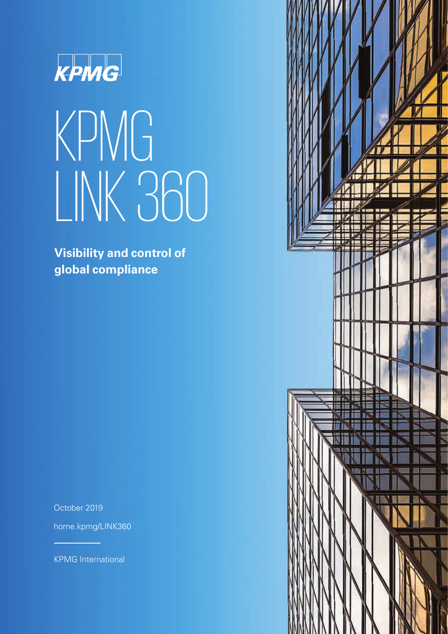

# KPMG LINK 360

**Visibility and control of global compliance**

October 2019

[home.kpmg/LINK360](http://www.home.kpmg/LINK360)

KPMG International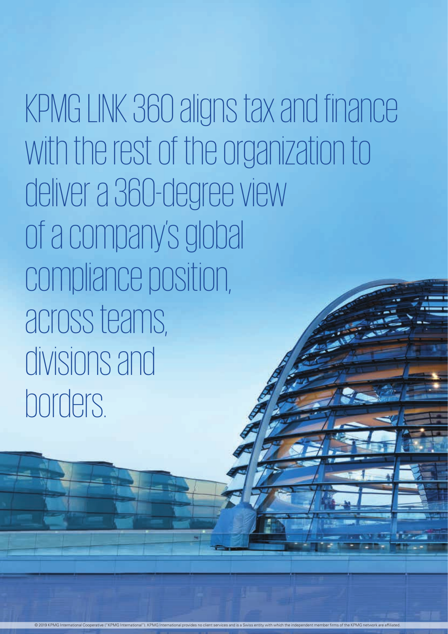KPMG LINK 360 aligns tax and finance with the rest of the organization to deliver a 360-degree view of a company's global compliance position, across teams, divisions and borders.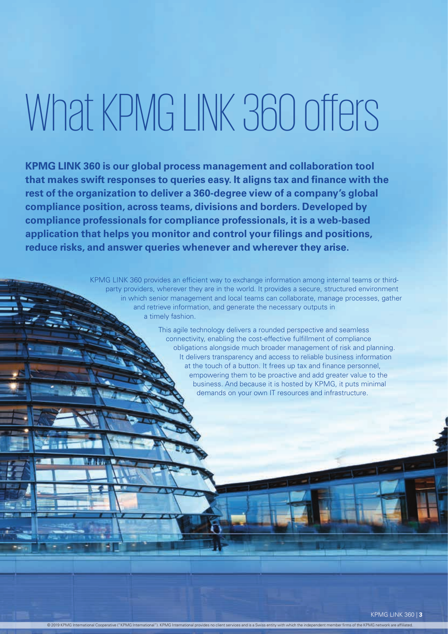## What KPMG LINK 360 offers

**KPMG LINK 360 is our global process management and collaboration tool that makes swift responses to queries easy. It aligns tax and finance with the rest of the organization to deliver a 360-degree view of a company's global compliance position, across teams, divisions and borders. Developed by compliance professionals for compliance professionals, it is a web-based application that helps you monitor and control your filings and positions, reduce risks, and answer queries whenever and wherever they arise.**

> KPMG LINK 360 provides an efficient way to exchange information among internal teams or thirdparty providers, wherever they are in the world. It provides a secure, structured environment in which senior management and local teams can collaborate, manage processes, gather and retrieve information, and generate the necessary outputs in a timely fashion.

© 2019 KPMG International Cooperative ("KPMG International"). KPMG International provides no client services and is a Swiss entity with which the independent member firms of the KPMG network are affiliated.

This agile technology delivers a rounded perspective and seamless connectivity, enabling the cost-effective fulfillment of compliance obligations alongside much broader management of risk and planning. It delivers transparency and access to reliable business information at the touch of a button. It frees up tax and finance personnel, empowering them to be proactive and add greater value to the business. And because it is hosted by KPMG, it puts minimal demands on your own IT resources and infrastructure.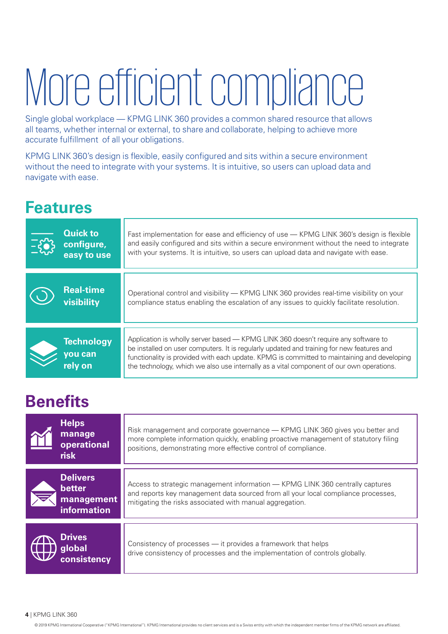## More efficient compliance

Single global workplace — KPMG LINK 360 provides a common shared resource that allows all teams, whether internal or external, to share and collaborate, helping to achieve more accurate fulfillment of all your obligations.

KPMG LINK 360's design is flexible, easily configured and sits within a secure environment without the need to integrate with your systems. It is intuitive, so users can upload data and navigate with ease.

## **Features**

| <b>Quick to</b><br>configure,<br>easy to use | Fast implementation for ease and efficiency of use - KPMG LINK 360's design is flexible<br>and easily configured and sits within a secure environment without the need to integrate<br>with your systems. It is intuitive, so users can upload data and navigate with ease.                                                                                                |
|----------------------------------------------|----------------------------------------------------------------------------------------------------------------------------------------------------------------------------------------------------------------------------------------------------------------------------------------------------------------------------------------------------------------------------|
| <b>Real-time</b><br>visibility               | Operational control and visibility — KPMG LINK 360 provides real-time visibility on your<br>compliance status enabling the escalation of any issues to quickly facilitate resolution.                                                                                                                                                                                      |
| <b>Technology</b><br>you can<br>rely on      | Application is wholly server based — KPMG LINK 360 doesn't require any software to<br>be installed on user computers. It is regularly updated and training for new features and<br>functionality is provided with each update. KPMG is committed to maintaining and developing<br>the technology, which we also use internally as a vital component of our own operations. |

## **Benefits**

| <b>Helps</b><br>manage<br>operational<br><b>risk</b>          | Risk management and corporate governance — KPMG LINK 360 gives you better and<br>more complete information quickly, enabling proactive management of statutory filing<br>positions, demonstrating more effective control of compliance. |
|---------------------------------------------------------------|-----------------------------------------------------------------------------------------------------------------------------------------------------------------------------------------------------------------------------------------|
| <b>Delivers</b><br>better<br>management<br><b>information</b> | Access to strategic management information - KPMG LINK 360 centrally captures<br>and reports key management data sourced from all your local compliance processes,<br>mitigating the risks associated with manual aggregation.          |
| <b>Drives</b><br>global<br>consistency                        | Consistency of processes — it provides a framework that helps<br>drive consistency of processes and the implementation of controls globally.                                                                                            |

**4** | KPMG LINK 360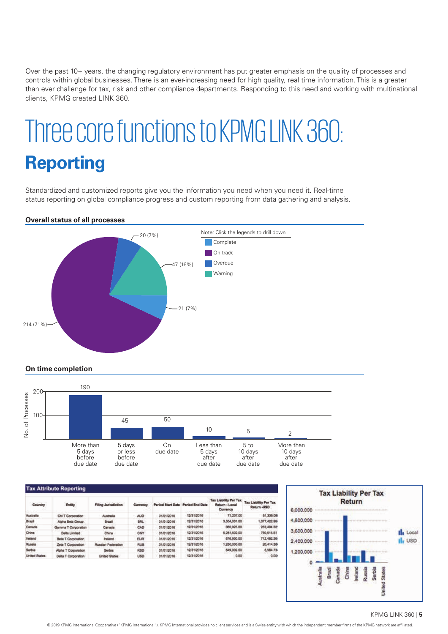Over the past 10+ years, the changing regulatory environment has put greater emphasis on the quality of processes and controls within global businesses. There is an ever-increasing need for high quality, real time information. This is a greater than ever challenge for tax, risk and other compliance departments. Responding to this need and working with multinational clients, KPMG created LINK 360.

## Three core functions to KPMG LINK 360: **Reporting**

Standardized and customized reports give you the information you need when you need it. Real-time status reporting on global compliance progress and custom reporting from data gathering and analysis.

#### **Overall status of all processes**



**On time completion**



| <b>Tax Attribute Reporting</b> |                      |                            |            |                   |                        |                                                            |                                             |  |
|--------------------------------|----------------------|----------------------------|------------|-------------------|------------------------|------------------------------------------------------------|---------------------------------------------|--|
| Country                        | <b>Entity</b>        | <b>Filing Jurisdiction</b> | Currency   | Period Start Date | <b>Period End Date</b> | <b>Tax Liability Per Tax</b><br>Return - Local<br>Currency | <b>Tax Liability Per Tax</b><br>Return -USD |  |
| Australia                      | Chi T Corporation    | Australia                  | AUD.       | 01/01/2016        | 12/31/2016             | 71,237.00                                                  | 51,339.08                                   |  |
| <b>Brazil</b>                  | Alpha Beta Group     | <b>Brazil</b>              | <b>BRL</b> | 01/01/2016        | 12/31/2016             | 3,504,031.00                                               | 1.077.422.96                                |  |
| Canada                         | Gamma T Corporation  | Canada                     | CAD        | 01/01/2018        | 12/31/2016             | 380,923.00                                                 | 283,494.32                                  |  |
| China                          | <b>Delta Limited</b> | China                      | CNY        | 01/01/2016        | 12/31/2016             | 5,281,502.00                                               | 760,615.51                                  |  |
| <b>Indund</b>                  | Beta T Corporation   | Ineland.                   | <b>EUR</b> | 01/01/2016        | 12/31/2016             | 676,930.00                                                 | 712.482.36                                  |  |
| Russia                         | Zeta T Corporation   | Russian Federation         | RUB.       | 01/01/2018        | 12/31/2018             | 1,260,000.00                                               | 20.414.38                                   |  |
| Serbia                         | Alpha T Corporation. | <b>Serbia</b>              | <b>RSD</b> | 01/01/2018        | 12/31/2016             | 649,002.00                                                 | 5,584.73                                    |  |
| United States                  | Delta T Corporation  | <b>United States</b>       | <b>USD</b> | 01/01/2016        | 12/31/2016             | 0.00                                                       | 0.00                                        |  |



#### KPMG LINK 360 | **5**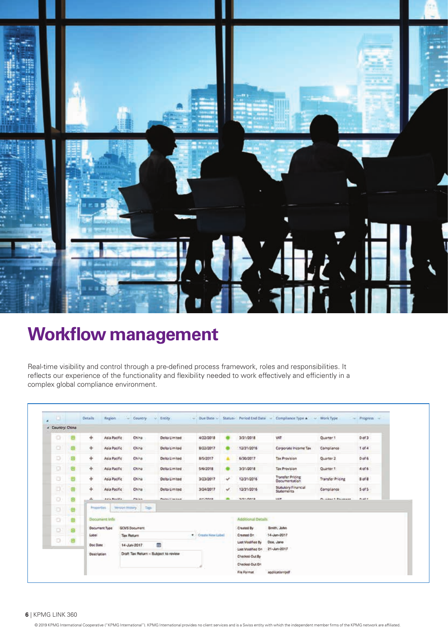

## **Workflow management**

Real-time visibility and control through a pre-defined process framework, roles and responsibilities. It reflects our experience of the functionality and flexibility needed to work effectively and efficiently in a complex global compliance environment.

| а<br>٠           |  |   | <b>Oetails</b>     | Region                         |                                      | - Country - Entity |                   |                    |   |                                    | $\sim$ Due Dato $\sim$ Status / Period End Date $\sim$ Compliance Type $\sim$ $\sim$ Work Type |                                      | $-$ Progress |  |
|------------------|--|---|--------------------|--------------------------------|--------------------------------------|--------------------|-------------------|--------------------|---|------------------------------------|------------------------------------------------------------------------------------------------|--------------------------------------|--------------|--|
| A Country: China |  |   |                    |                                |                                      |                    |                   |                    |   |                                    |                                                                                                |                                      |              |  |
| G                |  | Θ | ÷                  | Asia Pacific                   |                                      | China:             | Delta Limited     | 4/22/2018          |   | 3/31/2018                          | WXT                                                                                            | Quarter 1                            | 0 of 3       |  |
| Ю                |  | 由 | ÷                  | Asia Pacific                   |                                      | China              | Delta Limited     | 8/22/2017          |   | 12/31/2016                         | Corporate Income Tax                                                                           | Compliance                           | $1$ of $4$   |  |
| Ð                |  | 回 | ÷                  | Asia Pacific                   |                                      | China              | Delta Limited     | 8/5/2017           |   | 6/30/2017                          | Tax Provision                                                                                  | Quarter 2                            | $0$ of $6$   |  |
| o                |  | e | ÷.                 | Asia Pacific                   |                                      | China              | Delta Limited     | 5/6/2018           |   | 3/31/2018                          | Tax Provision.                                                                                 | Quarter 1                            | $4$ of 6     |  |
| o                |  | ⊕ | ÷                  | Asia Pacific                   |                                      | China              | Delta Limited     | 3/23/2017          | ν | 12/31/2016                         | Transfer Pricing<br><b>Documentation</b>                                                       | <b>Transfer Pricing</b>              | B of &       |  |
| a                |  | ¢ | ÷.                 | Asia Pacific<br>Artis Brightin |                                      | China              | Delta Limited     | 3/24/2017          | v | 12/31/2016                         | Statutory Financial<br><b>Statements</b><br><b>VALVE</b>                                       | Compliance<br>Principal 1. Ballymann | $5$ of $5$   |  |
| O                |  | Θ | æ                  |                                |                                      | <b>Flicke</b>      | Product Condition | <b>BANZANA</b>     | ۰ | <b>SIGHTANIA</b>                   |                                                                                                |                                      | <b>Bath</b>  |  |
| b                |  | G | <b>Properties</b>  |                                | Version History                      | Tape               |                   |                    |   |                                    |                                                                                                |                                      |              |  |
| ū                |  | 囪 |                    | Document Info:                 |                                      |                    |                   |                    |   | Additional Details                 |                                                                                                |                                      |              |  |
| XD.              |  | 6 |                    | <b>Document Type</b>           | GCMS Document                        |                    |                   |                    |   | Created By                         | Smith, John                                                                                    |                                      |              |  |
|                  |  |   | Label <sup>1</sup> |                                | Tax Return                           |                    |                   | . Create New Label |   | 14-Jun-2017<br>Created On:         |                                                                                                |                                      |              |  |
| o                |  | Ð | Doc Date           |                                | œ<br>14-Jun-2017                     |                    |                   |                    |   | Last Modified By<br>Doe, Jane      |                                                                                                |                                      |              |  |
|                  |  |   | Description        |                                | Draft Tax Return - Subject to review |                    |                   |                    |   | Last Modified On<br>Checked Out By | 21-Jun-2017                                                                                    |                                      |              |  |
|                  |  |   |                    |                                |                                      |                    |                   |                    |   | Checked-Dut On                     |                                                                                                |                                      |              |  |
|                  |  |   |                    |                                |                                      |                    |                   |                    |   | File Format                        | application/pdf                                                                                |                                      |              |  |

#### **6** | KPMG LINK 360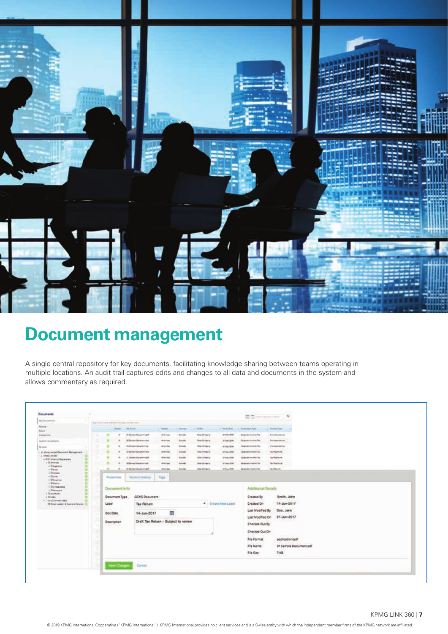

## **Document management**

A single central repository for key documents, facilitating knowledge sharing between teams operating in multiple locations. An audit trail captures edits and changes to all data and documents in the system and allows commentary as required.

| <b>Documents</b>                                                                                                 |  |                                                     |                                |                                                                |                                                                         |                    |                              |                                       | $111 - 11$                                     | $\alpha$                   |
|------------------------------------------------------------------------------------------------------------------|--|-----------------------------------------------------|--------------------------------|----------------------------------------------------------------|-------------------------------------------------------------------------|--------------------|------------------------------|---------------------------------------|------------------------------------------------|----------------------------|
| Wy Rossners:                                                                                                     |  | The first commencement with the Policial chapter of |                                | If it is consistening in the first form to provide the consen- |                                                                         |                    |                              |                                       |                                                |                            |
| <b><i><u>Linesian</u></i></b><br><b>Bank</b>                                                                     |  |                                                     |                                | Striple - Six birth                                            | - August 1                                                              | - Chevry - - helly |                              | to the hold but it is the meanwh from |                                                | . Doma Say                 |
| <b>Statement</b>                                                                                                 |  | ٠                                                   | ٠                              | If Salar Board Lift                                            | <b><i>Branke</i></b>                                                    | <b>Tirinia</b>     | <b>Block Clarkswiss</b>      | 315to (ftw.)                          | Diametricia To                                 | <b>Zontainmin</b>          |
| <b>Saarin Sucarnacts</b>                                                                                         |  | ٠                                                   |                                | <b>OF NASA DISARRANEO</b>                                      | <b>Middle</b>                                                           | <b>Saventi</b>     | <b>Blog-Barlgaria</b>        | <b>Johnson</b> (2016)                 | <b>Bingmake Instruction</b>                    | <b>So convenient</b>       |
| Weekly                                                                                                           |  |                                                     |                                | 100 Service Gloswhert (St.                                     | <b>Wranty</b>                                                           | <b>Yelete</b>      | <b>Data Company</b>          | in Gas Street                         | <b>Corporate Veninier Six</b>                  | Decembers                  |
| a standard trend District Management<br>a singular and                                                           |  |                                                     | ٠                              | 10 bened Decamers out                                          | <b>Brenning</b>                                                         | tions              | <b>Edite Chinesens</b>       | <b>Initial Strip</b>                  | <b>Ligger and Streety Text</b>                 | <b>Surfastant</b>          |
| a GM Annual Department<br>a literature                                                                           |  |                                                     | ٠                              | IT Limited Strippins April                                     | <b>William</b>                                                          | tarale             | <b>ENGINEERS</b>             | <b>STIM STE</b>                       | <b>Libraries Hooks Too</b>                     | Tex Posterra               |
| a Gregorita                                                                                                      |  |                                                     |                                | <b>Were a service</b>                                          | Arene                                                                   | <b>Ganada</b>      | <b><i>PIPA GETTENTIK</i></b> | <b>Under 1996</b>                     | <b>Using transfer Transfer Trans-</b>          | <b>Summers</b>             |
| y Bauel.<br>+ Si Grazia                                                                                          |  | ш                                                   | $\sim$                         | 37 Senate Education and                                        | delays age                                                              | <b>Alabalas</b>    | <b>Edie Gampolis</b>         | Atlas 1996                            | Delegate mixing fac-                           | <b>THE RELINE</b>          |
| + Sidney<br>o Bitawia                                                                                            |  |                                                     | Properties.                    | Vermont History                                                | Tags                                                                    |                    |                              |                                       |                                                |                            |
| - Durestions<br>v Blassings<br>a Disappoint<br>A Green<br>> middle-second<br>19 Sold Leaker & Feature Sevice, 11 |  | Label                                               | Document Info<br>Document Type | GCMS Document<br><b>Tax Return</b>                             |                                                                         |                    |                              | " Create New Lide!                    | Additional Details<br>Created By<br>Created On | Smith, John<br>14-Jun-2017 |
|                                                                                                                  |  |                                                     | Doc Date                       | 14-Jun-2017                                                    | <br>册                                                                   |                    |                              |                                       | Last Modified By<br>List Modified On           | Doe, Jane<br>21-Jun-2017   |
|                                                                                                                  |  | Description                                         |                                |                                                                | Draft Tax Return - Subject to review<br>CAT :: 그의 전화가 있는 POSTER 전 35. X |                    |                              |                                       | Checked-Dut-By<br>Checked Out On               | General Astronomy          |
|                                                                                                                  |  |                                                     |                                |                                                                |                                                                         |                    |                              |                                       | File Format                                    | application/pdf            |
|                                                                                                                  |  |                                                     |                                |                                                                |                                                                         |                    |                              |                                       | File Name                                      | 01 Sample Document.pdf     |
|                                                                                                                  |  |                                                     |                                |                                                                |                                                                         |                    |                              |                                       | file Size:                                     | 7.03                       |
|                                                                                                                  |  |                                                     |                                |                                                                |                                                                         |                    |                              |                                       |                                                |                            |